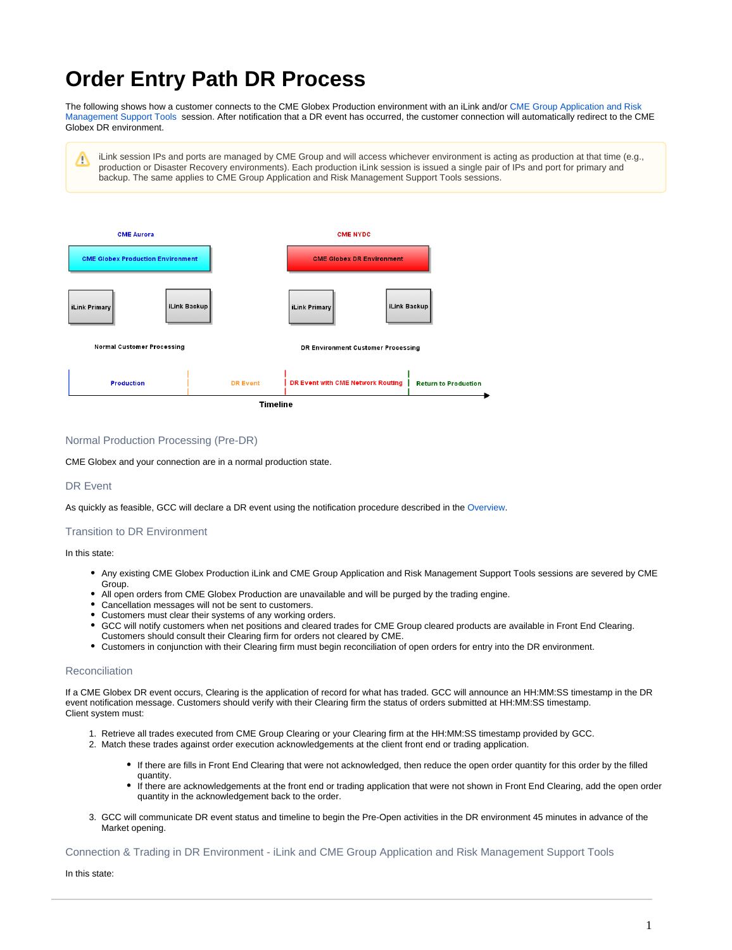## **Order Entry Path DR Process**

The following shows how a customer connects to the CME Globex Production environment with an iLink and/or [CME Group Application and Risk](https://www.cmegroup.com/confluence/display/EPICSANDBOX/CME+Group+Application+and+Risk+Management+Support+Tools)  [Management Support Tools](https://www.cmegroup.com/confluence/display/EPICSANDBOX/CME+Group+Application+and+Risk+Management+Support+Tools) session. After notification that a DR event has occurred, the customer connection will automatically redirect to the CME Globex DR environment.

iLink session IPs and ports are managed by CME Group and will access whichever environment is acting as production at that time (e.g., ↗ production or Disaster Recovery environments). Each production iLink session is issued a single pair of IPs and port for primary and backup. The same applies to CME Group Application and Risk Management Support Tools sessions.



Normal Production Processing (Pre-DR)

CME Globex and your connection are in a normal production state.

DR Event

As quickly as feasible, GCC will declare a DR event using the notification procedure described in the Overview.

## Transition to DR Environment

In this state:

- Any existing CME Globex Production iLink and CME Group Application and Risk Management Support Tools sessions are severed by CME Group.
- All open orders from CME Globex Production are unavailable and will be purged by the trading engine.
- Cancellation messages will not be sent to customers.
- Customers must clear their systems of any working orders.
- GCC will notify customers when net positions and cleared trades for CME Group cleared products are available in Front End Clearing.
- Customers should consult their Clearing firm for orders not cleared by CME.
- Customers in conjunction with their Clearing firm must begin reconciliation of open orders for entry into the DR environment.

## **Reconciliation**

If a CME Globex DR event occurs, Clearing is the application of record for what has traded. GCC will announce an HH:MM:SS timestamp in the DR event notification message. Customers should verify with their Clearing firm the status of orders submitted at HH:MM:SS timestamp. Client system must:

- 1. Retrieve all trades executed from CME Group Clearing or your Clearing firm at the HH:MM:SS timestamp provided by GCC.
- 2. Match these trades against order execution acknowledgements at the client front end or trading application.
	- If there are fills in Front End Clearing that were not acknowledged, then reduce the open order quantity for this order by the filled quantity.
	- If there are acknowledgements at the front end or trading application that were not shown in Front End Clearing, add the open order quantity in the acknowledgement back to the order.
- 3. GCC will communicate DR event status and timeline to begin the Pre-Open activities in the DR environment 45 minutes in advance of the Market opening.

Connection & Trading in DR Environment - iLink and CME Group Application and Risk Management Support Tools

In this state: